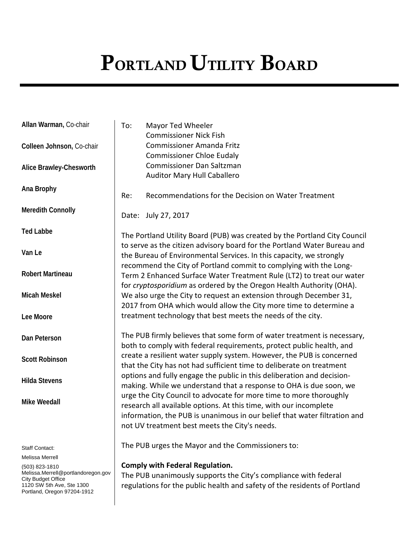# PORTLAND UTILITY BOARD

| Allan Warman, Co-chair                               | To: | Mayor Ted Wheeler<br><b>Commissioner Nick Fish</b>                                                                                                                                                                                                                    |
|------------------------------------------------------|-----|-----------------------------------------------------------------------------------------------------------------------------------------------------------------------------------------------------------------------------------------------------------------------|
| Colleen Johnson, Co-chair                            |     | <b>Commissioner Amanda Fritz</b><br><b>Commissioner Chloe Eudaly</b>                                                                                                                                                                                                  |
| Alice Brawley-Chesworth                              |     | <b>Commissioner Dan Saltzman</b><br><b>Auditor Mary Hull Caballero</b>                                                                                                                                                                                                |
| Ana Brophy                                           | Re: | Recommendations for the Decision on Water Treatment                                                                                                                                                                                                                   |
| <b>Meredith Connolly</b>                             |     | Date: July 27, 2017                                                                                                                                                                                                                                                   |
| <b>Ted Labbe</b>                                     |     | The Portland Utility Board (PUB) was created by the Portland City Council                                                                                                                                                                                             |
| Van Le                                               |     | to serve as the citizen advisory board for the Portland Water Bureau and<br>the Bureau of Environmental Services. In this capacity, we strongly<br>recommend the City of Portland commit to complying with the Long-                                                  |
| <b>Robert Martineau</b>                              |     | Term 2 Enhanced Surface Water Treatment Rule (LT2) to treat our water<br>for cryptosporidium as ordered by the Oregon Health Authority (OHA).                                                                                                                         |
| <b>Micah Meskel</b>                                  |     | We also urge the City to request an extension through December 31,<br>2017 from OHA which would allow the City more time to determine a                                                                                                                               |
| Lee Moore                                            |     | treatment technology that best meets the needs of the city.                                                                                                                                                                                                           |
| Dan Peterson                                         |     | The PUB firmly believes that some form of water treatment is necessary,<br>both to comply with federal requirements, protect public health, and                                                                                                                       |
| <b>Scott Robinson</b>                                |     | create a resilient water supply system. However, the PUB is concerned<br>that the City has not had sufficient time to deliberate on treatment                                                                                                                         |
| <b>Hilda Stevens</b>                                 |     | options and fully engage the public in this deliberation and decision-<br>making. While we understand that a response to OHA is due soon, we                                                                                                                          |
| <b>Mike Weedall</b>                                  |     | urge the City Council to advocate for more time to more thoroughly<br>research all available options. At this time, with our incomplete<br>information, the PUB is unanimous in our belief that water filtration and<br>not UV treatment best meets the City's needs. |
| <b>Staff Contact:</b>                                |     | The PUB urges the Mayor and the Commissioners to:                                                                                                                                                                                                                     |
| Melissa Merrell                                      |     |                                                                                                                                                                                                                                                                       |
| (503) 823-1810<br>Melissa.Merrell@portlandoregon.gov |     | <b>Comply with Federal Regulation.</b>                                                                                                                                                                                                                                |
| <b>City Budget Office</b>                            |     | The PUB unanimously supports the City's compliance with federal                                                                                                                                                                                                       |
| 1120 SW 5th Ave, Ste 1300                            |     | regulations for the public health and safety of the residents of Portland                                                                                                                                                                                             |

Portland, Oregon 97204-1912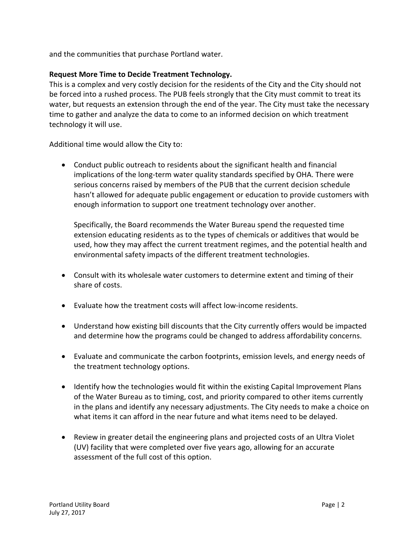and the communities that purchase Portland water.

## **Request More Time to Decide Treatment Technology.**

This is a complex and very costly decision for the residents of the City and the City should not be forced into a rushed process. The PUB feels strongly that the City must commit to treat its water, but requests an extension through the end of the year. The City must take the necessary time to gather and analyze the data to come to an informed decision on which treatment technology it will use.

Additional time would allow the City to:

• Conduct public outreach to residents about the significant health and financial implications of the long-term water quality standards specified by OHA. There were serious concerns raised by members of the PUB that the current decision schedule hasn't allowed for adequate public engagement or education to provide customers with enough information to support one treatment technology over another.

Specifically, the Board recommends the Water Bureau spend the requested time extension educating residents as to the types of chemicals or additives that would be used, how they may affect the current treatment regimes, and the potential health and environmental safety impacts of the different treatment technologies.

- Consult with its wholesale water customers to determine extent and timing of their share of costs.
- Evaluate how the treatment costs will affect low-income residents.
- Understand how existing bill discounts that the City currently offers would be impacted and determine how the programs could be changed to address affordability concerns.
- Evaluate and communicate the carbon footprints, emission levels, and energy needs of the treatment technology options.
- Identify how the technologies would fit within the existing Capital Improvement Plans of the Water Bureau as to timing, cost, and priority compared to other items currently in the plans and identify any necessary adjustments. The City needs to make a choice on what items it can afford in the near future and what items need to be delayed.
- Review in greater detail the engineering plans and projected costs of an Ultra Violet (UV) facility that were completed over five years ago, allowing for an accurate assessment of the full cost of this option.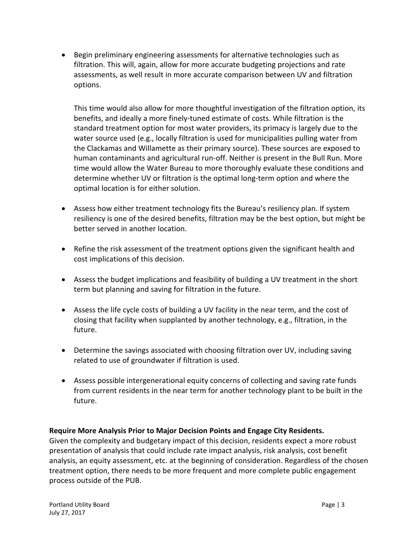• Begin preliminary engineering assessments for alternative technologies such as filtration. This will, again, allow for more accurate budgeting projections and rate assessments, as well result in more accurate comparison between UV and filtration options.

This time would also allow for more thoughtful investigation of the filtration option, its benefits, and ideally a more finely-tuned estimate of costs. While filtration is the standard treatment option for most water providers, its primacy is largely due to the water source used (e.g., locally filtration is used for municipalities pulling water from the Clackamas and Willamette as their primary source). These sources are exposed to human contaminants and agricultural run-off. Neither is present in the Bull Run. More time would allow the Water Bureau to more thoroughly evaluate these conditions and determine whether UV or filtration is the optimal long-term option and where the optimal location is for either solution.

- Assess how either treatment technology fits the Bureau's resiliency plan. If system resiliency is one of the desired benefits, filtration may be the best option, but might be better served in another location.
- Refine the risk assessment of the treatment options given the significant health and cost implications of this decision.
- Assess the budget implications and feasibility of building a UV treatment in the short term but planning and saving for filtration in the future.
- Assess the life cycle costs of building a UV facility in the near term, and the cost of closing that facility when supplanted by another technology, e.g., filtration, in the future.
- Determine the savings associated with choosing filtration over UV, including saving related to use of groundwater if filtration is used.
- Assess possible intergenerational equity concerns of collecting and saving rate funds from current residents in the near term for another technology plant to be built in the future.

## **Require More Analysis Prior to Major Decision Points and Engage City Residents.**

Given the complexity and budgetary impact of this decision, residents expect a more robust presentation of analysis that could include rate impact analysis, risk analysis, cost benefit analysis, an equity assessment, etc. at the beginning of consideration. Regardless of the chosen treatment option, there needs to be more frequent and more complete public engagement process outside of the PUB.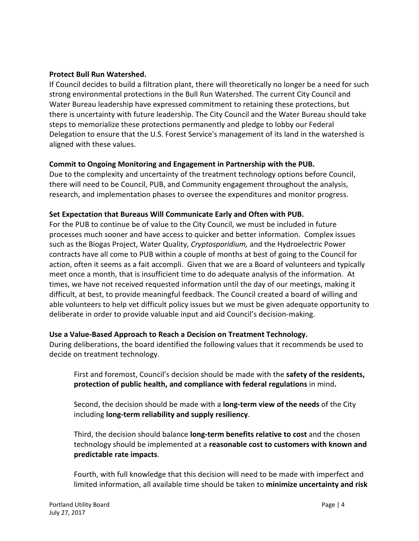#### **Protect Bull Run Watershed.**

If Council decides to build a filtration plant, there will theoretically no longer be a need for such strong environmental protections in the Bull Run Watershed. The current City Council and Water Bureau leadership have expressed commitment to retaining these protections, but there is uncertainty with future leadership. The City Council and the Water Bureau should take steps to memorialize these protections permanently and pledge to lobby our Federal Delegation to ensure that the U.S. Forest Service's management of its land in the watershed is aligned with these values.

#### **Commit to Ongoing Monitoring and Engagement in Partnership with the PUB.**

Due to the complexity and uncertainty of the treatment technology options before Council, there will need to be Council, PUB, and Community engagement throughout the analysis, research, and implementation phases to oversee the expenditures and monitor progress.

#### **Set Expectation that Bureaus Will Communicate Early and Often with PUB.**

For the PUB to continue be of value to the City Council, we must be included in future processes much sooner and have access to quicker and better information. Complex issues such as the Biogas Project, Water Quality, *Cryptosporidium,* and the Hydroelectric Power contracts have all come to PUB within a couple of months at best of going to the Council for action, often it seems as a fait accompli. Given that we are a Board of volunteers and typically meet once a month, that is insufficient time to do adequate analysis of the information. At times, we have not received requested information until the day of our meetings, making it difficult, at best, to provide meaningful feedback. The Council created a board of willing and able volunteers to help vet difficult policy issues but we must be given adequate opportunity to deliberate in order to provide valuable input and aid Council's decision-making.

## **Use a Value-Based Approach to Reach a Decision on Treatment Technology.**

During deliberations, the board identified the following values that it recommends be used to decide on treatment technology.

First and foremost, Council's decision should be made with the **safety of the residents, protection of public health, and compliance with federal regulations** in mind**.** 

Second, the decision should be made with a **long-term view of the needs** of the City including **long-term reliability and supply resiliency**.

Third, the decision should balance **long-term benefits relative to cost** and the chosen technology should be implemented at a **reasonable cost to customers with known and predictable rate impacts**.

Fourth, with full knowledge that this decision will need to be made with imperfect and limited information, all available time should be taken to **minimize uncertainty and risk**